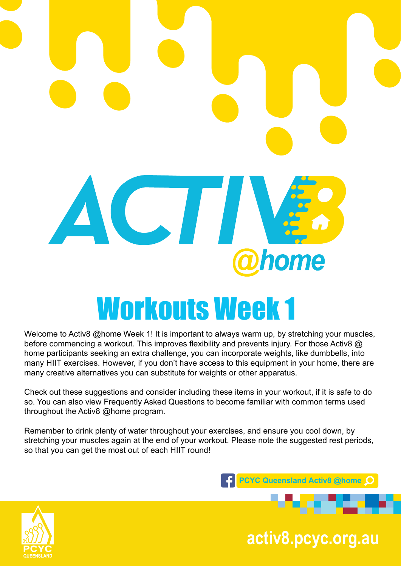# ACTI home Workouts Week 1

Welcome to Activ8 @home Week 1! It is important to always warm up, by stretching your muscles, before commencing a workout. This improves flexibility and prevents injury. For those Activ8 @ home participants seeking an extra challenge, you can incorporate weights, like dumbbells, into many HIIT exercises. However, if you don't have access to this equipment in your home, there are many creative alternatives you can substitute for weights or other apparatus.

Check out these suggestions and consider including these items in your workout, if it is safe to do so. You can also view Frequently Asked Questions to become familiar with common terms used throughout the Activ8 @home program.

Remember to drink plenty of water throughout your exercises, and ensure you cool down, by stretching your muscles again at the end of your workout. Please note the suggested rest periods, so that you can get the most out of each HIIT round!

**PCYC Queensland Activ8 @home** 



**pcyc.org.au activ8.pcyc.org.au**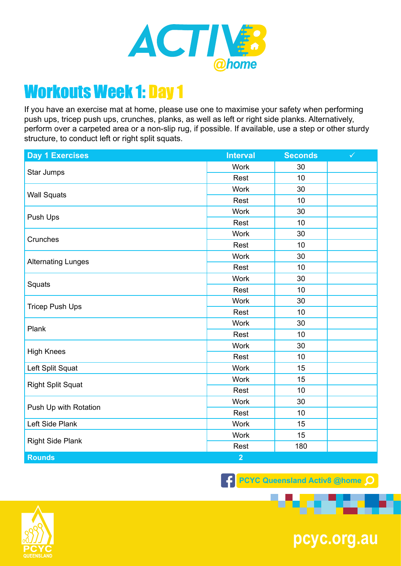

If you have an exercise mat at home, please use one to maximise your safety when performing push ups, tricep push ups, crunches, planks, as well as left or right side planks. Alternatively, perform over a carpeted area or a non-slip rug, if possible. If available, use a step or other sturdy structure, to conduct left or right split squats.

| <b>Day 1 Exercises</b>    | <b>Interval</b> | <b>Seconds</b> | $\checkmark$ |
|---------------------------|-----------------|----------------|--------------|
| Star Jumps                | <b>Work</b>     | 30             |              |
|                           | Rest            | 10             |              |
| <b>Wall Squats</b>        | <b>Work</b>     | 30             |              |
|                           | Rest            | 10             |              |
| Push Ups                  | <b>Work</b>     | 30             |              |
|                           | Rest            | 10             |              |
| Crunches                  | Work            | 30             |              |
|                           | Rest            | 10             |              |
| <b>Alternating Lunges</b> | <b>Work</b>     | 30             |              |
|                           | Rest            | 10             |              |
|                           | <b>Work</b>     | 30             |              |
| Squats                    | Rest            | 10             |              |
|                           | <b>Work</b>     | 30             |              |
| <b>Tricep Push Ups</b>    | Rest            | 10             |              |
| Plank                     | <b>Work</b>     | 30             |              |
|                           | Rest            | 10             |              |
| <b>High Knees</b>         | <b>Work</b>     | 30             |              |
|                           | Rest            | 10             |              |
| Left Split Squat          | <b>Work</b>     | 15             |              |
| <b>Right Split Squat</b>  | <b>Work</b>     | 15             |              |
|                           | Rest            | 10             |              |
| Push Up with Rotation     | <b>Work</b>     | 30             |              |
|                           | Rest            | 10             |              |
| Left Side Plank           | <b>Work</b>     | 15             |              |
| <b>Right Side Plank</b>   | Work            | 15             |              |
|                           | Rest            | 180            |              |
| <b>Rounds</b>             | $\overline{2}$  |                |              |

**PCYC Queensland Activ8 @home Q** 



**pcyc.org.au**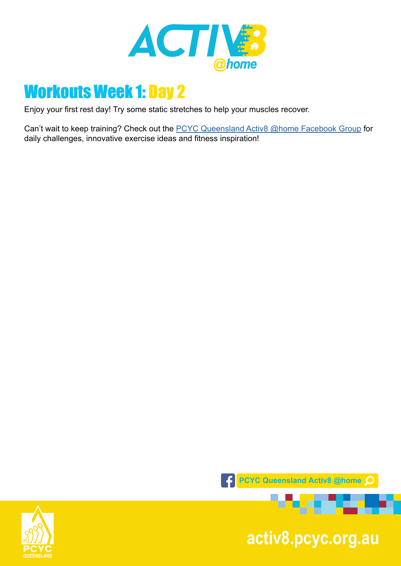

Enjoy your first rest day! Try some static stretches to help your muscles recover.

Can't wait to keep training? Check out the **PCYC Queensland Activ8 @home Facebook Group** for daily challenges, innovative exercise ideas and fitness inspiration!





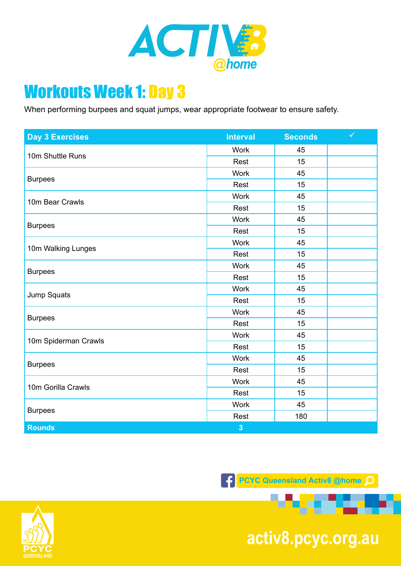

When performing burpees and squat jumps, wear appropriate footwear to ensure safety.

| <b>Day 3 Exercises</b> | <b>Interval</b> | <b>Seconds</b> | $\checkmark$ |
|------------------------|-----------------|----------------|--------------|
| 10m Shuttle Runs       | <b>Work</b>     | 45             |              |
|                        | Rest            | 15             |              |
| <b>Burpees</b>         | <b>Work</b>     | 45             |              |
|                        | Rest            | 15             |              |
| 10m Bear Crawls        | <b>Work</b>     | 45             |              |
|                        | Rest            | 15             |              |
| <b>Burpees</b>         | <b>Work</b>     | 45             |              |
|                        | Rest            | 15             |              |
| 10m Walking Lunges     | <b>Work</b>     | 45             |              |
|                        | Rest            | 15             |              |
|                        | <b>Work</b>     | 45             |              |
| <b>Burpees</b>         | Rest            | 15             |              |
|                        | <b>Work</b>     | 45             |              |
| Jump Squats            | Rest            | 15             |              |
|                        | <b>Work</b>     | 45             |              |
| <b>Burpees</b>         | Rest            | 15             |              |
| 10m Spiderman Crawls   | <b>Work</b>     | 45             |              |
|                        | Rest            | 15             |              |
| <b>Burpees</b>         | <b>Work</b>     | 45             |              |
|                        | Rest            | 15             |              |
| 10m Gorilla Crawls     | <b>Work</b>     | 45             |              |
|                        | Rest            | 15             |              |
| <b>Burpees</b>         | <b>Work</b>     | 45             |              |
|                        | Rest            | 180            |              |
| <b>Rounds</b>          | $\overline{3}$  |                |              |

**PCYC Queensland Activ8 @home Q** 



**pcyc.org.au activ8.pcyc.org.au**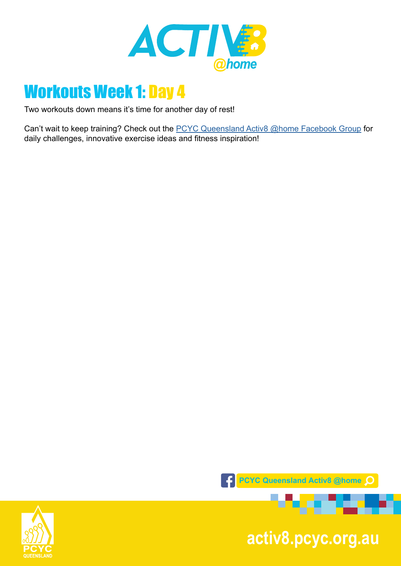

Two workouts down means it's time for another day of rest!

Can't wait to keep training? Check out the **PCYC Queensland Activ8 @home Facebook Group** for daily challenges, innovative exercise ideas and fitness inspiration!



**pcyc.org.au activ8.pcyc.org.au**

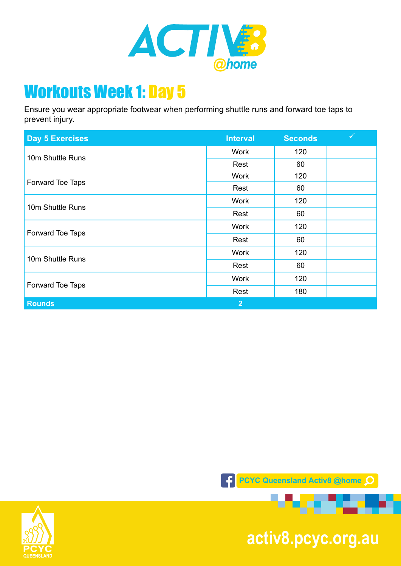

Ensure you wear appropriate footwear when performing shuttle runs and forward toe taps to prevent injury.

| <b>Day 5 Exercises</b> | <b>Interval</b> | <b>Seconds</b> | $\checkmark$ |
|------------------------|-----------------|----------------|--------------|
| 10m Shuttle Runs       | <b>Work</b>     | 120            |              |
|                        | Rest            | 60             |              |
| Forward Toe Taps       | <b>Work</b>     | 120            |              |
|                        | Rest            | 60             |              |
| 10m Shuttle Runs       | <b>Work</b>     | 120            |              |
|                        | Rest            | 60             |              |
| Forward Toe Taps       | <b>Work</b>     | 120            |              |
|                        | Rest            | 60             |              |
| 10m Shuttle Runs       | <b>Work</b>     | 120            |              |
|                        | Rest            | 60             |              |
| Forward Toe Taps       | <b>Work</b>     | 120            |              |
|                        | Rest            | 180            |              |
| <b>Rounds</b>          | 2 <sup>1</sup>  |                |              |





**pcyc.org.au activ8.pcyc.org.au**

. . . . . .

æ.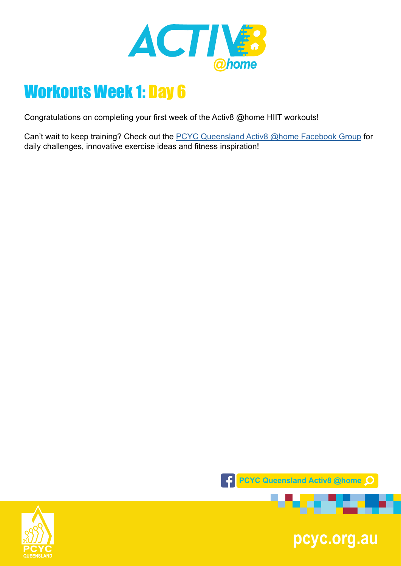

Congratulations on completing your first week of the Activ8 @home HIIT workouts!

Can't wait to keep training? Check out the [PCYC Queensland Activ8 @home Facebook Group](https://www.facebook.com/groups/2652320985090996/) for daily challenges, innovative exercise ideas and fitness inspiration!